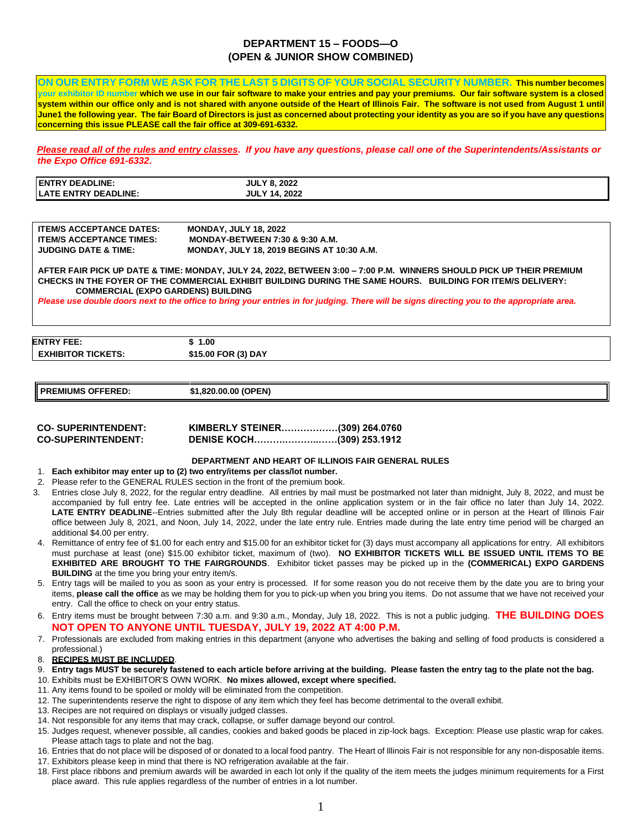## **DEPARTMENT 15 – FOODS—O (OPEN & JUNIOR SHOW COMBINED)**

**ON OUR ENTRY FORM WE ASK FOR THE LAST 5 DIGITS OF YOUR SOCIAL SECURITY NUMBER. This number becomes your exhibitor ID number which we use in our fair software to make your entries and pay your premiums. Our fair software system is a closed**  system within our office only and is not shared with anyone outside of the Heart of Illinois Fair. The software is not used from August 1 until **June1 the following year. The fair Board of Directors is just as concerned about protecting your identity as you are so if you have any questions concerning this issue PLEASE call the fair office at 309-691-6332.** 

*Please read all of the rules and entry classes. If you have any questions, please call one of the Superintendents/Assistants or the Expo Office 691-6332.* 

| <b>IENTRY DEADLINE:</b>     | <b>JULY 8, 2022</b>  |
|-----------------------------|----------------------|
| <b>LATE ENTRY DEADLINE:</b> | <b>JULY 14, 2022</b> |

| <b>ITEM/S ACCEPTANCE DATES:</b> | <b>MONDAY, JULY 18, 2022</b>                      |
|---------------------------------|---------------------------------------------------|
| <b>ITEM/S ACCEPTANCE TIMES:</b> | <b>MONDAY-BETWEEN 7:30 &amp; 9:30 A.M.</b>        |
| <b>JUDGING DATE &amp; TIME:</b> | <b>MONDAY, JULY 18, 2019 BEGINS AT 10:30 A.M.</b> |

**AFTER FAIR PICK UP DATE & TIME: MONDAY, JULY 24, 2022, BETWEEN 3:00 – 7:00 P.M. WINNERS SHOULD PICK UP THEIR PREMIUM CHECKS IN THE FOYER OF THE COMMERCIAL EXHIBIT BUILDING DURING THE SAME HOURS. BUILDING FOR ITEM/S DELIVERY: COMMERCIAL (EXPO GARDENS) BUILDING** 

*Please use double doors next to the office to bring your entries in for judging. There will be signs directing you to the appropriate area.* 

**ENTRY FEE: \$ 1.00 EXHIBITOR TICKETS: \$15.00 FOR (3) DAY** 

**PREMIUMS OFFERED: \$1,820.00.00 (OPEN)** 

| <b>CO-SUPERINTENDENT:</b> | KIMBERLY STEINER(309) 264.0760   |  |
|---------------------------|----------------------------------|--|
| <b>CO-SUPERINTENDENT:</b> | <b>DENISE KOCH(309) 253.1912</b> |  |

#### **DEPARTMENT AND HEART OF ILLINOIS FAIR GENERAL RULES**

- 1. **Each exhibitor may enter up to (2) two entry/items per class/lot number.**
- 2. Please refer to the GENERAL RULES section in the front of the premium book.
- 3. Entries close July 8, 2022, for the regular entry deadline. All entries by mail must be postmarked not later than midnight, July 8, 2022, and must be accompanied by full entry fee. Late entries will be accepted in the online application system or in the fair office no later than July 14, 2022. LATE ENTRY DEADLINE--Entries submitted after the July 8th regular deadline will be accepted online or in person at the Heart of Illinois Fair office between July 8, 2021, and Noon, July 14, 2022, under the late entry rule. Entries made during the late entry time period will be charged an additional \$4.00 per entry.
- 4. Remittance of entry fee of \$1.00 for each entry and \$15.00 for an exhibitor ticket for (3) days must accompany all applications for entry. All exhibitors must purchase at least (one) \$15.00 exhibitor ticket, maximum of (two). **NO EXHIBITOR TICKETS WILL BE ISSUED UNTIL ITEMS TO BE EXHIBITED ARE BROUGHT TO THE FAIRGROUNDS**. Exhibitor ticket passes may be picked up in the **(COMMERICAL) EXPO GARDENS BUILDING** at the time you bring your entry item/s.
- 5. Entry tags will be mailed to you as soon as your entry is processed. If for some reason you do not receive them by the date you are to bring your items, **please call the office** as we may be holding them for you to pick-up when you bring you items. Do not assume that we have not received your entry. Call the office to check on your entry status.
- 6. Entry items must be brought between 7:30 a.m. and 9:30 a.m., Monday, July 18, 2022. This is not a public judging. **THE BUILDING DOES NOT OPEN TO ANYONE UNTIL TUESDAY, JULY 19, 2022 AT 4:00 P.M.**
- 7. Professionals are excluded from making entries in this department (anyone who advertises the baking and selling of food products is considered a professional.)
- 8. **RECIPES MUST BE INCLUDED**.
- 9. **Entry tags MUST be securely fastened to each article before arriving at the building. Please fasten the entry tag to the plate not the bag.**
- 10. Exhibits must be EXHIBITOR'S OWN WORK. **No mixes allowed, except where specified.**
- 11. Any items found to be spoiled or moldy will be eliminated from the competition.
- 12. The superintendents reserve the right to dispose of any item which they feel has become detrimental to the overall exhibit.
- 13. Recipes are not required on displays or visually judged classes.
- 14. Not responsible for any items that may crack, collapse, or suffer damage beyond our control.
- 15. Judges request, whenever possible, all candies, cookies and baked goods be placed in zip-lock bags. Exception: Please use plastic wrap for cakes. Please attach tags to plate and not the bag.
- 16. Entries that do not place will be disposed of or donated to a local food pantry. The Heart of Illinois Fair is not responsible for any non-disposable items.
- 17. Exhibitors please keep in mind that there is NO refrigeration available at the fair.
- 18. First place ribbons and premium awards will be awarded in each lot only if the quality of the item meets the judges minimum requirements for a First place award. This rule applies regardless of the number of entries in a lot number.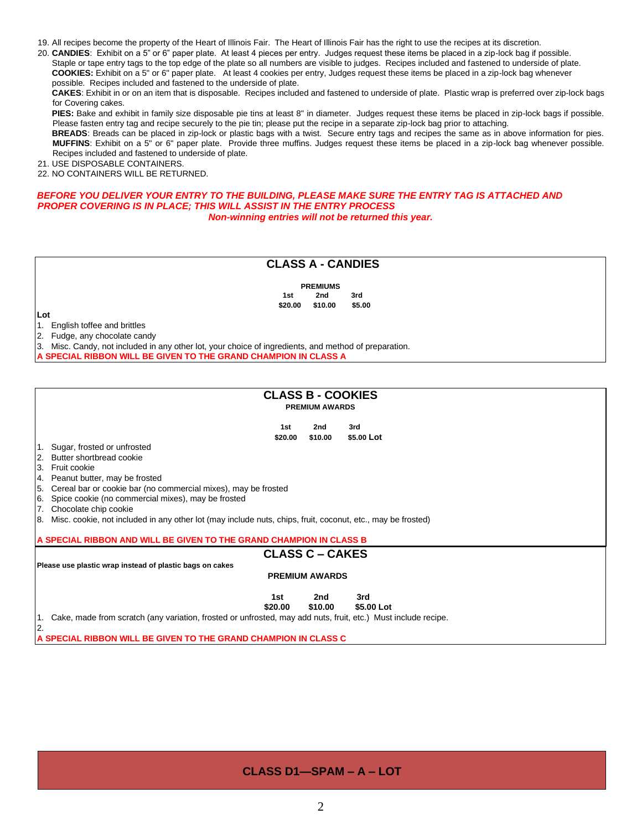19. All recipes become the property of the Heart of Illinois Fair. The Heart of Illinois Fair has the right to use the recipes at its discretion.

20. **CANDIES**: Exhibit on a 5" or 6" paper plate. At least 4 pieces per entry. Judges request these items be placed in a zip-lock bag if possible. Staple or tape entry tags to the top edge of the plate so all numbers are visible to judges. Recipes included and fastened to underside of plate. **COOKIES:** Exhibit on a 5" or 6" paper plate. At least 4 cookies per entry, Judges request these items be placed in a zip-lock bag whenever possible. Recipes included and fastened to the underside of plate.

**CAKES**: Exhibit in or on an item that is disposable. Recipes included and fastened to underside of plate. Plastic wrap is preferred over zip-lock bags for Covering cakes.

**PIES:** Bake and exhibit in family size disposable pie tins at least 8" in diameter. Judges request these items be placed in zip-lock bags if possible. Please fasten entry tag and recipe securely to the pie tin; please put the recipe in a separate zip-lock bag prior to attaching.

**BREADS**: Breads can be placed in zip-lock or plastic bags with a twist. Secure entry tags and recipes the same as in above information for pies. **MUFFINS**: Exhibit on a 5" or 6" paper plate. Provide three muffins. Judges request these items be placed in a zip-lock bag whenever possible. Recipes included and fastened to underside of plate.

21. USE DISPOSABLE CONTAINERS.

22. NO CONTAINERS WILL BE RETURNED.

## BEFORE YOU DELIVER YOUR ENTRY TO THE BUILDING, PLEASE MAKE SURE THE ENTRY TAG IS ATTACHED AND *PROPER COVERING IS IN PLACE; THIS WILL ASSIST IN THE ENTRY PROCESS*

*Non-winning entries will not be returned this year.* 

## **CLASS A - CANDIES**

**PREMIUMS 1st 2nd 3rd \$20.00 \$10.00 \$5.00** 

**Lot** 

1. English toffee and brittles

2. Fudge, any chocolate candy

3. Misc. Candy, not included in any other lot, your choice of ingredients, and method of preparation.

**SPECIAL RIBBON WILL BE GIVEN TO THE GRAND CHAMPION IN CLASS A** 

#### **CLASS B - COOKIES PREMIUM AWARDS**

| 1st     | 2nd     | 3rd        |
|---------|---------|------------|
| \$20.00 | \$10.00 | \$5.00 Lot |

- 1. Sugar, frosted or unfrosted
- 2. Butter shortbread cookie
- 3. Fruit cookie

2.

- 4. Peanut butter, may be frosted
- 5. Cereal bar or cookie bar (no commercial mixes), may be frosted
- 6. Spice cookie (no commercial mixes), may be frosted
- 7. Chocolate chip cookie

8. Misc. cookie, not included in any other lot (may include nuts, chips, fruit, coconut, etc., may be frosted)

#### **A SPECIAL RIBBON AND WILL BE GIVEN TO THE GRAND CHAMPION IN CLASS B**

## **CLASS C – CAKES**

**Please use plastic wrap instead of plastic bags on cakes** 

### **PREMIUM AWARDS**

#### **1st 2nd 3rd \$20.00 \$10.00 \$5.00 Lot**

1. Cake, made from scratch (any variation, frosted or unfrosted, may add nuts, fruit, etc.) Must include recipe.

**A SPECIAL RIBBON WILL BE GIVEN TO THE GRAND CHAMPION IN CLASS C** 

## **CLASS D1—SPAM – A – LOT**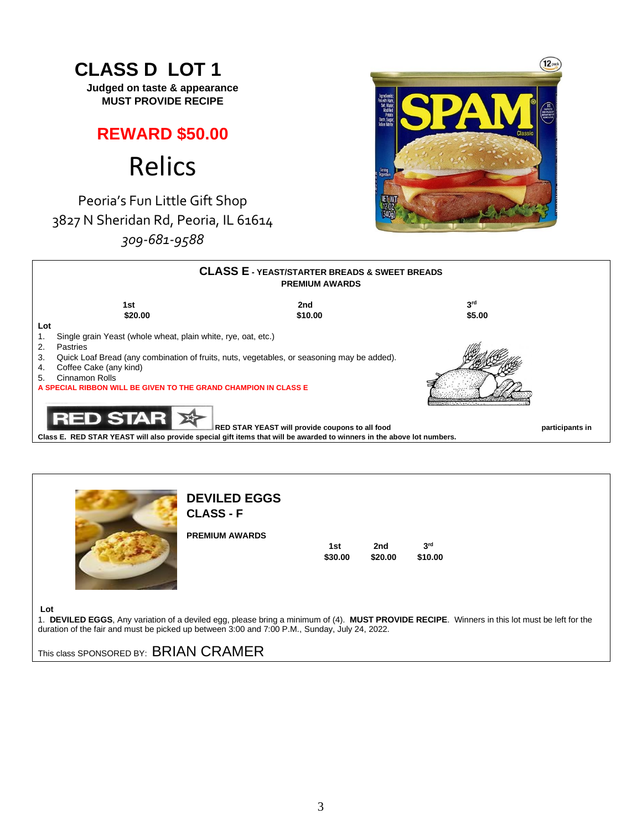## $\overline{12}$  **CLASS D LOT 1 Judged on taste & appearance MUST PROVIDE RECIPE REWARD \$50.00** Relics Peoria's Fun Little Gift Shop [3827 N Sheridan Rd, Peoria, IL 61614](https://www.bing.com/local?lid=YN873x9801012168675186244&id=YN873x9801012168675186244&q=Relics&name=Relics&cp=40.73448944091797%7e-89.60346221923828&ppois=40.73448944091797_-89.60346221923828_Relics) *309-681-9588* **CLASS E - YEAST/STARTER BREADS & SWEET BREADS PREMIUM AWARDS rd 1st** 2nd 3  $$20.00$  \$20.00  $$10.00$ **Lot**  1. Single grain Yeast (whole wheat, plain white, rye, oat, etc.) 2. Pastries 3. Quick Loaf Bread (any combination of fruits, nuts, vegetables, or seasoning may be added). 4. Coffee Cake (any kind) 5. Cinnamon Rolls **A SPECIAL RIBBON WILL BE GIVEN TO THE GRAND CHAMPION IN CLASS E** TAR RED STAR YEAST will provide coupons to all food **participants in the participants in** participants in

**Class E. RED STAR YEAST will also provide special gift items that will be awarded to winners in the above lot numbers.** 



# **DEVILED EGGS**

 **CLASS - F** 

| PREMIUM AWARDS |         |         |            |
|----------------|---------|---------|------------|
|                | 1st     | 2nd     | <b>ard</b> |
|                | \$30.00 | \$20.00 | \$10.00    |
|                |         |         |            |

**Lot** 

1. **DEVILED EGGS**, Any variation of a deviled egg, please bring a minimum of (4). **MUST PROVIDE RECIPE**. Winners in this lot must be left for the duration of the fair and must be picked up between 3:00 and 7:00 P.M., Sunday, July 24, 2022.

This class SPONSORED BY: BRIAN CRAMER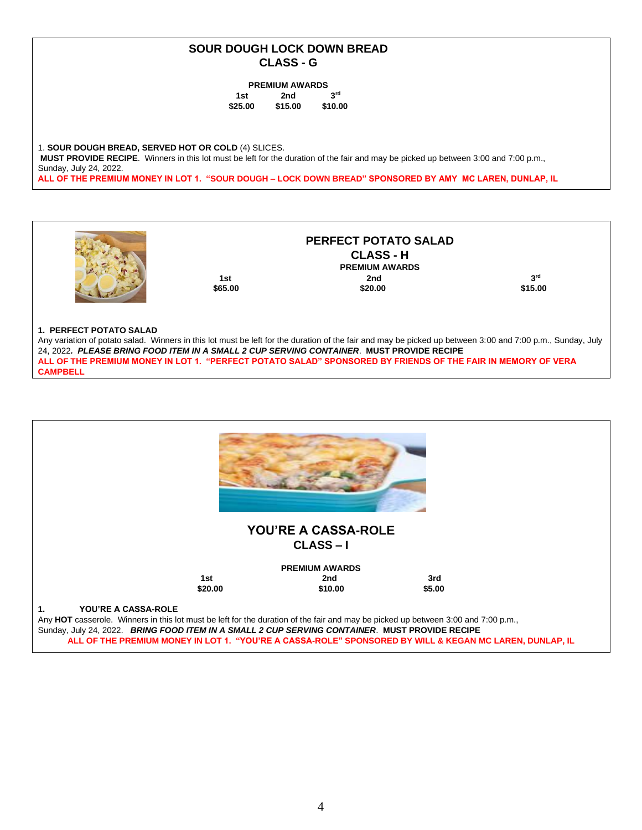## **SOUR DOUGH LOCK DOWN BREAD CLASS - G**

#### **PREMIUM AWARDS**

| 1st     | 2nd     | 3 <sup>rd</sup> |
|---------|---------|-----------------|
| \$25.00 | \$15.00 | \$10.00         |

1. **SOUR DOUGH BREAD, SERVED HOT OR COLD** (4) SLICES. **MUST PROVIDE RECIPE**. Winners in this lot must be left for the duration of the fair and may be picked up between 3:00 and 7:00 p.m., Sunday, July 24, 2022. **ALL OF THE PREMIUM MONEY IN LOT 1. "SOUR DOUGH – LOCK DOWN BREAD" SPONSORED BY AMY MC LAREN, DUNLAP, IL**



## **1. PERFECT POTATO SALAD**

Any variation of potato salad. Winners in this lot must be left for the duration of the fair and may be picked up between 3:00 and 7:00 p.m., Sunday, July 24, 2022*. PLEASE BRING FOOD ITEM IN A SMALL 2 CUP SERVING CONTAINER*. **MUST PROVIDE RECIPE ALL OF THE PREMIUM MONEY IN LOT 1. "PERFECT POTATO SALAD" SPONSORED BY FRIENDS OF THE FAIR IN MEMORY OF VERA CAMPBELL**

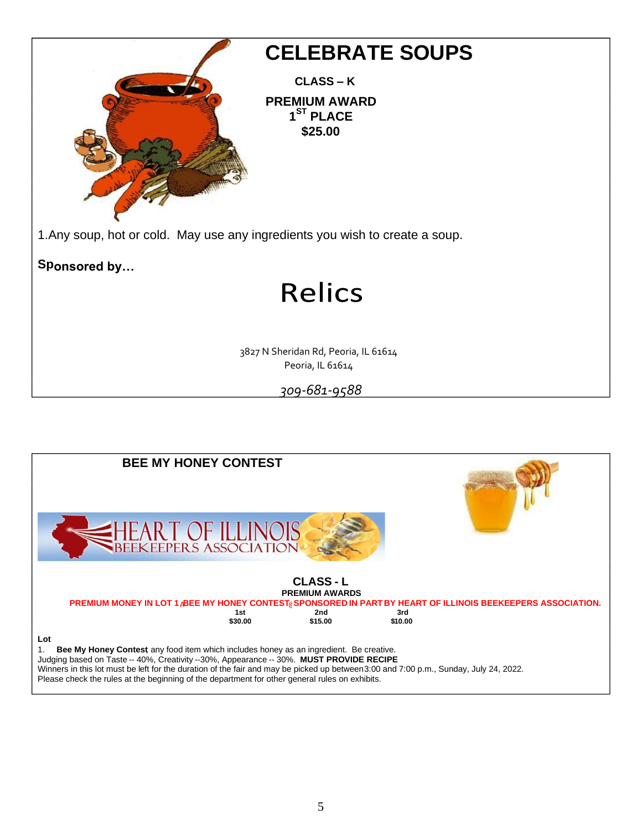

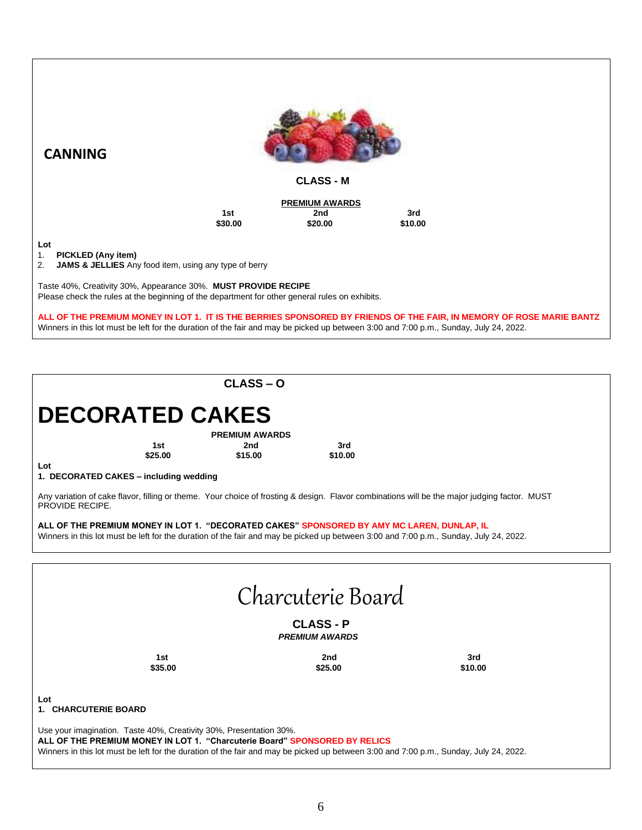

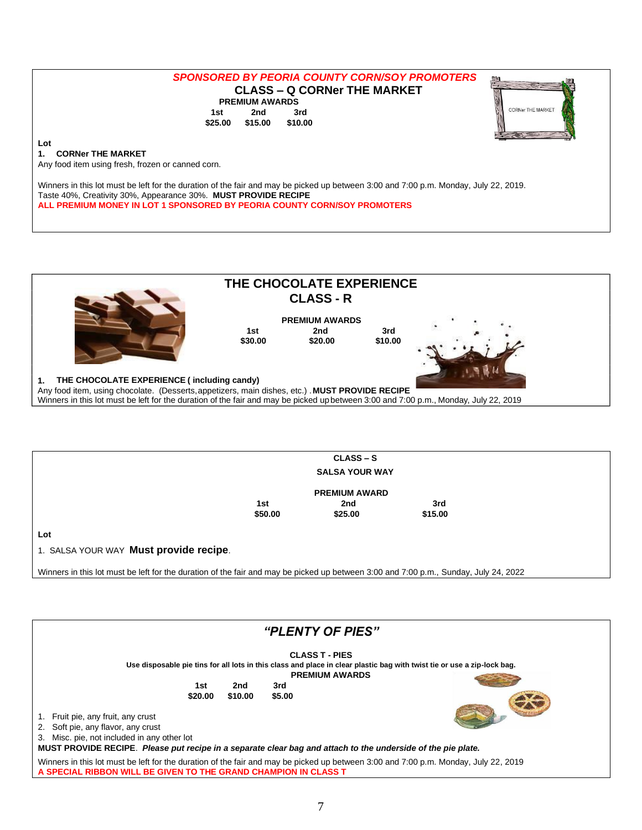## *SPONSORED BY PEORIA COUNTY CORN/SOY PROMOTERS*  **CLASS – Q CORNer THE MARKET PREMIUM AWARDS 1st 2nd 3rd \$25.00 \$15.00 \$10.00**



#### **Lot 1. CORNer THE MARKET**

Any food item using fresh, frozen or canned corn.

Winners in this lot must be left for the duration of the fair and may be picked up between 3:00 and 7:00 p.m. Monday, July 22, 2019. Taste 40%, Creativity 30%, Appearance 30%. **MUST PROVIDE RECIPE ALL PREMIUM MONEY IN LOT 1 SPONSORED BY PEORIA COUNTY CORN/SOY PROMOTERS** 



|                                                                                                                                                                                       |         | $CLASS - S$           |         |  |
|---------------------------------------------------------------------------------------------------------------------------------------------------------------------------------------|---------|-----------------------|---------|--|
|                                                                                                                                                                                       |         | <b>SALSA YOUR WAY</b> |         |  |
|                                                                                                                                                                                       |         | <b>PREMIUM AWARD</b>  |         |  |
|                                                                                                                                                                                       | 1st     | 2nd                   | 3rd     |  |
|                                                                                                                                                                                       | \$50.00 | \$25.00               | \$15.00 |  |
| Lot<br>1. SALSA YOUR WAY Must provide recipe.<br>Winners in this lot must be left for the duration of the fair and may be picked up between 3:00 and 7:00 p.m., Sunday, July 24, 2022 |         |                       |         |  |

| "PLENTY OF PIES"                                                                                                                                                                                                                                                                                           |  |  |  |  |
|------------------------------------------------------------------------------------------------------------------------------------------------------------------------------------------------------------------------------------------------------------------------------------------------------------|--|--|--|--|
| <b>CLASS T - PIES</b><br>Use disposable pie tins for all lots in this class and place in clear plastic bag with twist tie or use a zip-lock bag.<br><b>PREMIUM AWARDS</b><br>2nd<br>3rd<br>1st<br>\$10.00<br>\$5.00<br>\$20.00<br>1. Fruit pie, any fruit, any crust<br>2. Soft pie, any flavor, any crust |  |  |  |  |
| 3. Misc. pie, not included in any other lot<br>MUST PROVIDE RECIPE. Please put recipe in a separate clear bag and attach to the underside of the pie plate.                                                                                                                                                |  |  |  |  |
| Winners in this lot must be left for the duration of the fair and may be picked up between 3:00 and 7:00 p.m. Monday, July 22, 2019<br>A SPECIAL RIBBON WILL BE GIVEN TO THE GRAND CHAMPION IN CLASS T                                                                                                     |  |  |  |  |